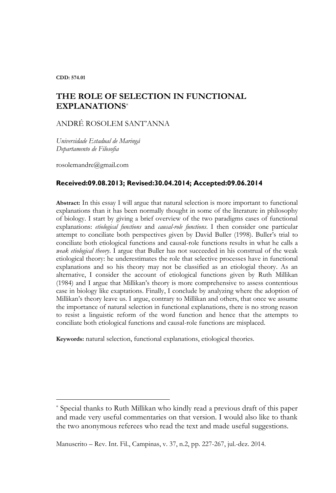**CDD: 574.01**

 $\overline{a}$ 

# **THE ROLE OF SELECTION IN FUNCTIONAL EXPLANATIONS**\*

ANDRÉ ROSOLEM SANT'ANNA

*Universidade Estadual de Maringá Departamento de Filosofia*

rosolemandre@gmail.com

#### **Received:09.08.2013; Revised:30.04.2014; Accepted:09.06.2014**

**Abstract:** In this essay I will argue that natural selection is more important to functional explanations than it has been normally thought in some of the literature in philosophy of biology. I start by giving a brief overview of the two paradigms cases of functional explanations: *etiological functions* and *causal-role functions*. I then consider one particular attempt to conciliate both perspectives given by David Buller (1998). Buller's trial to conciliate both etiological functions and causal-role functions results in what he calls a *weak etiological theory*. I argue that Buller has not succeeded in his construal of the weak etiological theory: he underestimates the role that selective processes have in functional explanations and so his theory may not be classified as an etiologial theory. As an alternative, I consider the account of etiological functions given by Ruth Millikan (1984) and I argue that Millikan's theory is more comprehensive to assess contentious case in biology like exaptations. Finally, I conclude by analyzing where the adoption of Millikan's theory leave us. I argue, contrary to Millikan and others, that once we assume the importance of natural selection in functional explanations, there is no strong reason to resist a linguistic reform of the word function and hence that the attempts to conciliate both etiological functions and causal-role functions are misplaced.

**Keywords:** natural selection, functional explanations, etiological theories.

<sup>\*</sup> Special thanks to Ruth Millikan who kindly read a previous draft of this paper and made very useful commentaries on that version. I would also like to thank the two anonymous referees who read the text and made useful suggestions.

Manuscrito – Rev. Int. Fil., Campinas, v. 37, n.2, pp. 227-267, jul.-dez. 2014.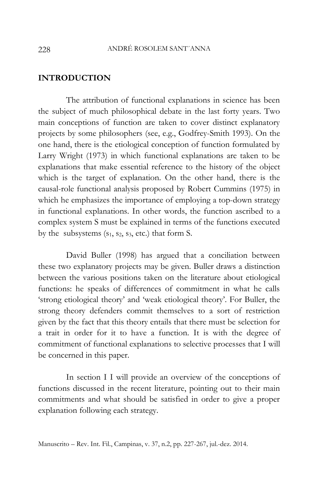### **INTRODUCTION**

The attribution of functional explanations in science has been the subject of much philosophical debate in the last forty years. Two main conceptions of function are taken to cover distinct explanatory projects by some philosophers (see, e.g., Godfrey-Smith 1993). On the one hand, there is the etiological conception of function formulated by Larry Wright (1973) in which functional explanations are taken to be explanations that make essential reference to the history of the object which is the target of explanation. On the other hand, there is the causal-role functional analysis proposed by Robert Cummins (1975) in which he emphasizes the importance of employing a top-down strategy in functional explanations. In other words, the function ascribed to a complex system S must be explained in terms of the functions executed by the subsystems  $(s_1, s_2, s_3, \text{etc.})$  that form S.

David Buller (1998) has argued that a conciliation between these two explanatory projects may be given. Buller draws a distinction between the various positions taken on the literature about etiological functions: he speaks of differences of commitment in what he calls 'strong etiological theory' and 'weak etiological theory'. For Buller, the strong theory defenders commit themselves to a sort of restriction given by the fact that this theory entails that there must be selection for a trait in order for it to have a function. It is with the degree of commitment of functional explanations to selective processes that I will be concerned in this paper.

In section I I will provide an overview of the conceptions of functions discussed in the recent literature, pointing out to their main commitments and what should be satisfied in order to give a proper explanation following each strategy.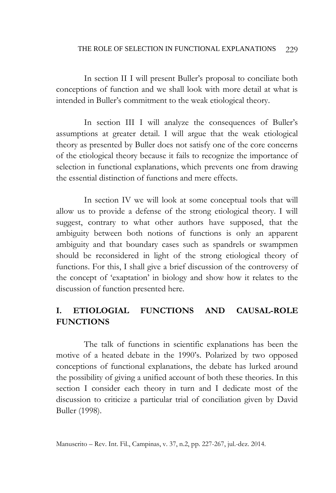In section II I will present Buller's proposal to conciliate both conceptions of function and we shall look with more detail at what is intended in Buller's commitment to the weak etiological theory.

In section III I will analyze the consequences of Buller's assumptions at greater detail. I will argue that the weak etiological theory as presented by Buller does not satisfy one of the core concerns of the etiological theory because it fails to recognize the importance of selection in functional explanations, which prevents one from drawing the essential distinction of functions and mere effects.

In section IV we will look at some conceptual tools that will allow us to provide a defense of the strong etiological theory. I will suggest, contrary to what other authors have supposed, that the ambiguity between both notions of functions is only an apparent ambiguity and that boundary cases such as spandrels or swampmen should be reconsidered in light of the strong etiological theory of functions. For this, I shall give a brief discussion of the controversy of the concept of 'exaptation' in biology and show how it relates to the discussion of function presented here.

# **I. ETIOLOGIAL FUNCTIONS AND CAUSAL-ROLE FUNCTIONS**

The talk of functions in scientific explanations has been the motive of a heated debate in the 1990's. Polarized by two opposed conceptions of functional explanations, the debate has lurked around the possibility of giving a unified account of both these theories. In this section I consider each theory in turn and I dedicate most of the discussion to criticize a particular trial of conciliation given by David Buller (1998).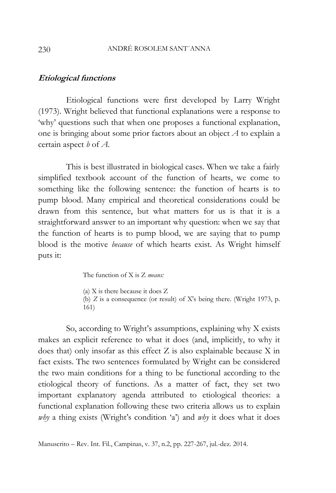### **Etiological functions**

Etiological functions were first developed by Larry Wright (1973). Wright believed that functional explanations were a response to 'why' questions such that when one proposes a functional explanation, one is bringing about some prior factors about an object *A* to explain a certain aspect *b* of *A*.

This is best illustrated in biological cases. When we take a fairly simplified textbook account of the function of hearts, we come to something like the following sentence: the function of hearts is to pump blood. Many empirical and theoretical considerations could be drawn from this sentence, but what matters for us is that it is a straightforward answer to an important why question: when we say that the function of hearts is to pump blood, we are saying that to pump blood is the motive *because* of which hearts exist. As Wright himself puts it:

The function of X is Z *means:*

(a) X is there because it does Z (b) *Z* is a consequence (or result) of X's being there. (Wright 1973, p. 161)

So, according to Wright's assumptions, explaining why X exists makes an explicit reference to what it does (and, implicitly, to why it does that) only insofar as this effect Z is also explainable because X in fact exists. The two sentences formulated by Wright can be considered the two main conditions for a thing to be functional according to the etiological theory of functions. As a matter of fact, they set two important explanatory agenda attributed to etiological theories: a functional explanation following these two criteria allows us to explain *why* a thing exists (Wright's condition 'a') and *why* it does what it does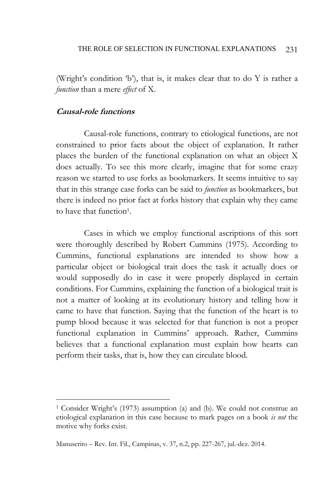(Wright's condition 'b'), that is, it makes clear that to do Y is rather a *function* than a mere *effect* of X.

## **Causal-role functions**

 $\overline{a}$ 

Causal-role functions, contrary to etiological functions, are not constrained to prior facts about the object of explanation. It rather places the burden of the functional explanation on what an object X does actually. To see this more clearly, imagine that for some crazy reason we started to use forks as bookmarkers. It seems intuitive to say that in this strange case forks can be said to *function* as bookmarkers, but there is indeed no prior fact at forks history that explain why they came to have that function<sup>1</sup>.

Cases in which we employ functional ascriptions of this sort were thoroughly described by Robert Cummins (1975). According to Cummins, functional explanations are intended to show how a particular object or biological trait does the task it actually does or would supposedly do in case it were properly displayed in certain conditions. For Cummins, explaining the function of a biological trait is not a matter of looking at its evolutionary history and telling how it came to have that function. Saying that the function of the heart is to pump blood because it was selected for that function is not a proper functional explanation in Cummins' approach. Rather, Cummins believes that a functional explanation must explain how hearts can perform their tasks, that is, how they can circulate blood.

<sup>1</sup> Consider Wright's (1973) assumption (a) and (b). We could not construe an etiological explanation in this case because to mark pages on a book *is not* the motive why forks exist.

Manuscrito – Rev. Int. Fil., Campinas, v. 37, n.2, pp. 227-267, jul.-dez. 2014.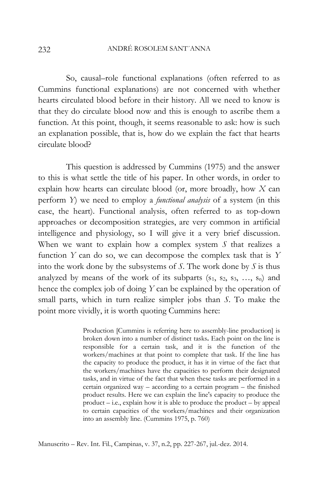So, causal–role functional explanations (often referred to as Cummins functional explanations) are not concerned with whether hearts circulated blood before in their history. All we need to know is that they do circulate blood now and this is enough to ascribe them a function. At this point, though, it seems reasonable to ask: how is such an explanation possible, that is, how do we explain the fact that hearts circulate blood?

This question is addressed by Cummins (1975) and the answer to this is what settle the title of his paper. In other words, in order to explain how hearts can circulate blood (or, more broadly, how *X* can perform *Y*) we need to employ a *functional analysis* of a system (in this case, the heart). Functional analysis, often referred to as top-down approaches or decomposition strategies, are very common in artificial intelligence and physiology, so I will give it a very brief discussion. When we want to explain how a complex system *S* that realizes a function *Y* can do so, we can decompose the complex task that is *Y* into the work done by the subsystems of *S*. The work done by *S* is thus analyzed by means of the work of its subparts  $(s_1, s_2, s_3, \ldots, s_n)$  and hence the complex job of doing *Y* can be explained by the operation of small parts, which in turn realize simpler jobs than *S*. To make the point more vividly, it is worth quoting Cummins here:

> Production [Cummins is referring here to assembly-line production] is broken down into a number of distinct tasks**.** Each point on the line is responsible for a certain task, and it is the function of the workers/machines at that point to complete that task. If the line has the capacity to produce the product, it has it in virtue of the fact that the workers/machines have the capacities to perform their designated tasks, and in virtue of the fact that when these tasks are performed in a certain organized way – according to a certain program – the finished product results. Here we can explain the line's capacity to produce the product – i.e., explain how it is able to produce the product – by appeal to certain capacities of the workers/machines and their organization into an assembly line. (Cummins 1975, p. 760)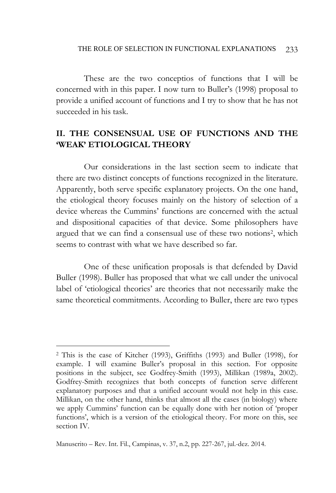These are the two conceptios of functions that I will be concerned with in this paper. I now turn to Buller's (1998) proposal to provide a unified account of functions and I try to show that he has not succeeded in his task.

## **II. THE CONSENSUAL USE OF FUNCTIONS AND THE 'WEAK' ETIOLOGICAL THEORY**

Our considerations in the last section seem to indicate that there are two distinct concepts of functions recognized in the literature. Apparently, both serve specific explanatory projects. On the one hand, the etiological theory focuses mainly on the history of selection of a device whereas the Cummins' functions are concerned with the actual and dispositional capacities of that device. Some philosophers have argued that we can find a consensual use of these two notions<sup>2</sup>, which seems to contrast with what we have described so far.

One of these unification proposals is that defended by David Buller (1998). Buller has proposed that what we call under the univocal label of 'etiological theories' are theories that not necessarily make the same theoretical commitments. According to Buller, there are two types

<sup>2</sup> This is the case of Kitcher (1993), Griffiths (1993) and Buller (1998), for example. I will examine Buller's proposal in this section. For opposite positions in the subject, see Godfrey-Smith (1993), Millikan (1989a, 2002). Godfrey-Smith recognizes that both concepts of function serve different explanatory purposes and that a unified account would not help in this case. Millikan, on the other hand, thinks that almost all the cases (in biology) where we apply Cummins' function can be equally done with her notion of 'proper functions', which is a version of the etiological theory. For more on this, see section IV.

Manuscrito – Rev. Int. Fil., Campinas, v. 37, n.2, pp. 227-267, jul.-dez. 2014.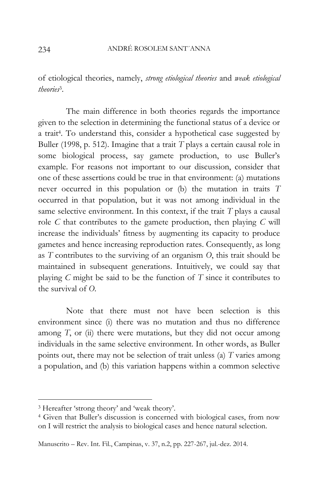of etiological theories, namely, *strong etiological theories* and *weak etiological theories*<sup>3</sup> .

The main difference in both theories regards the importance given to the selection in determining the functional status of a device or a trait<sup>4</sup> . To understand this, consider a hypothetical case suggested by Buller (1998, p. 512). Imagine that a trait *T* plays a certain causal role in some biological process, say gamete production, to use Buller's example. For reasons not important to our discussion, consider that one of these assertions could be true in that environment: (a) mutations never occurred in this population or (b) the mutation in traits *T* occurred in that population, but it was not among individual in the same selective environment. In this context, if the trait *T* plays a causal role *C* that contributes to the gamete production, then playing *C* will increase the individuals' fitness by augmenting its capacity to produce gametes and hence increasing reproduction rates. Consequently, as long as *T* contributes to the surviving of an organism *O*, this trait should be maintained in subsequent generations. Intuitively, we could say that playing *C* might be said to be the function of *T* since it contributes to the survival of *O*.

Note that there must not have been selection is this environment since (i) there was no mutation and thus no difference among  $T$ , or  $(ii)$  there were mutations, but they did not occur among individuals in the same selective environment. In other words, as Buller points out, there may not be selection of trait unless (a) *T* varies among a population, and (b) this variation happens within a common selective

<sup>3</sup> Hereafter 'strong theory' and 'weak theory'.

<sup>4</sup> Given that Buller's discussion is concerned with biological cases, from now on I will restrict the analysis to biological cases and hence natural selection.

Manuscrito – Rev. Int. Fil., Campinas, v. 37, n.2, pp. 227-267, jul.-dez. 2014.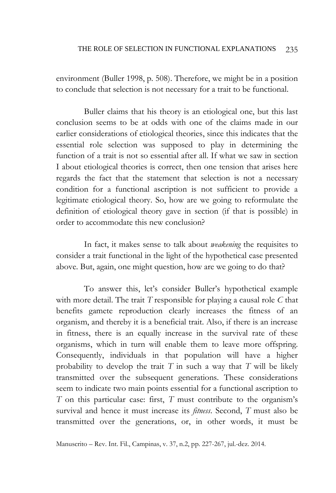#### THE ROLE OF SELECTION IN FUNCTIONAL EXPLANATIONS 235

environment (Buller 1998, p. 508). Therefore, we might be in a position to conclude that selection is not necessary for a trait to be functional.

Buller claims that his theory is an etiological one, but this last conclusion seems to be at odds with one of the claims made in our earlier considerations of etiological theories, since this indicates that the essential role selection was supposed to play in determining the function of a trait is not so essential after all. If what we saw in section I about etiological theories is correct, then one tension that arises here regards the fact that the statement that selection is not a necessary condition for a functional ascription is not sufficient to provide a legitimate etiological theory. So, how are we going to reformulate the definition of etiological theory gave in section (if that is possible) in order to accommodate this new conclusion?

In fact, it makes sense to talk about *weakening* the requisites to consider a trait functional in the light of the hypothetical case presented above. But, again, one might question, how are we going to do that?

To answer this, let's consider Buller's hypothetical example with more detail. The trait *T* responsible for playing a causal role *C* that benefits gamete reproduction clearly increases the fitness of an organism, and thereby it is a beneficial trait. Also, if there is an increase in fitness, there is an equally increase in the survival rate of these organisms, which in turn will enable them to leave more offspring. Consequently, individuals in that population will have a higher probability to develop the trait *T* in such a way that *T* will be likely transmitted over the subsequent generations. These considerations seem to indicate two main points essential for a functional ascription to *T* on this particular case: first, *T* must contribute to the organism's survival and hence it must increase its *fitness*. Second, *T* must also be transmitted over the generations, or, in other words, it must be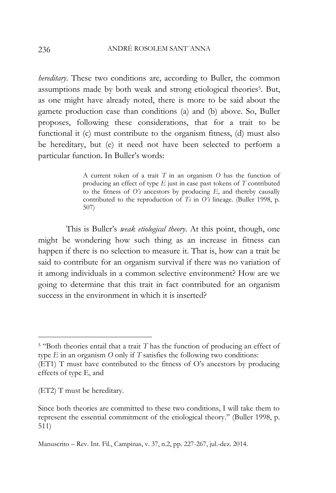*hereditary*. These two conditions are, according to Buller, the common assumptions made by both weak and strong etiological theories<sup>5</sup>. But, as one might have already noted, there is more to be said about the gamete production case than conditions (a) and (b) above. So, Buller proposes, following these considerations, that for a trait to be functional it (c) must contribute to the organism fitness, (d) must also be hereditary, but (e) it need not have been selected to perform a particular function. In Buller's words:

> A current token of a trait *T* in an organism *O* has the function of producing an effect of type *E* just in case past tokens of *T* contributed to the fitness of *O's* ancestors by producing *E*, and thereby causally contributed to the reproduction of *Ts* in *O's* lineage. (Buller 1998, p. 507)

This is Buller's *weak etiological theory*. At this point, though, one might be wondering how such thing as an increase in fitness can happen if there is no selection to measure it. That is, how can a trait be said to contribute for an organism survival if there was no variation of it among individuals in a common selective environment? How are we going to determine that this trait in fact contributed for an organism success in the environment in which it is inserted?

effects of type E, and

(ET2) T must be hereditary.

<sup>5</sup> "Both theories entail that a trait *T* has the function of producing an effect of type *E* in an organism *O* only if *T* satisfies the following two conditions: (ET1) T must have contributed to the fitness of O's ancestors by producing

Since both theories are committed to these two conditions, I will take them to represent the essential commitment of the etiological theory." (Buller 1998, p. 511)

Manuscrito – Rev. Int. Fil., Campinas, v. 37, n.2, pp. 227-267, jul.-dez. 2014.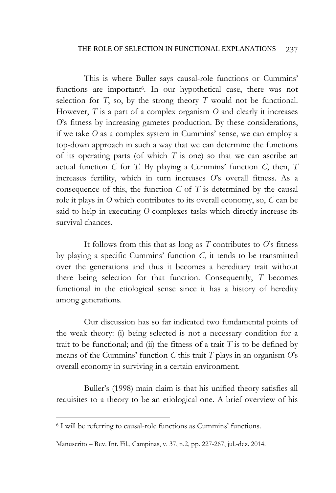#### THE ROLE OF SELECTION IN FUNCTIONAL EXPLANATIONS 237

This is where Buller says causal-role functions or Cummins' functions are important<sup>6</sup>. In our hypothetical case, there was not selection for *T*, so, by the strong theory *T* would not be functional. However, *T* is a part of a complex organism *O* and clearly it increases *O*'s fitness by increasing gametes production. By these considerations, if we take *O* as a complex system in Cummins' sense, we can employ a top-down approach in such a way that we can determine the functions of its operating parts (of which *T* is one) so that we can ascribe an actual function *C* for *T*. By playing a Cummins' function *C*, then, *T* increases fertility, which in turn increases *O*'s overall fitness. As a consequence of this, the function *C* of *T* is determined by the causal role it plays in *O* which contributes to its overall economy, so, *C* can be said to help in executing *O* complexes tasks which directly increase its survival chances.

It follows from this that as long as *T* contributes to *O*'s fitness by playing a specific Cummins' function *C*, it tends to be transmitted over the generations and thus it becomes a hereditary trait without there being selection for that function. Consequently, *T* becomes functional in the etiological sense since it has a history of heredity among generations.

Our discussion has so far indicated two fundamental points of the weak theory: (i) being selected is not a necessary condition for a trait to be functional; and  $(ii)$  the fitness of a trait  $T$  is to be defined by means of the Cummins' function *C* this trait *T* plays in an organism *O*'s overall economy in surviving in a certain environment.

Buller's (1998) main claim is that his unified theory satisfies all requisites to a theory to be an etiological one. A brief overview of his

<sup>6</sup> I will be referring to causal-role functions as Cummins' functions.

Manuscrito – Rev. Int. Fil., Campinas, v. 37, n.2, pp. 227-267, jul.-dez. 2014.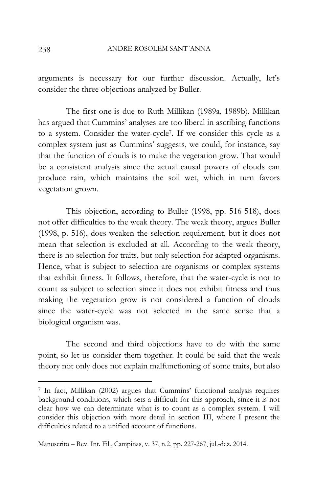arguments is necessary for our further discussion. Actually, let's consider the three objections analyzed by Buller.

The first one is due to Ruth Millikan (1989a, 1989b). Millikan has argued that Cummins' analyses are too liberal in ascribing functions to a system. Consider the water-cycle<sup>7</sup> . If we consider this cycle as a complex system just as Cummins' suggests, we could, for instance, say that the function of clouds is to make the vegetation grow. That would be a consistent analysis since the actual causal powers of clouds can produce rain, which maintains the soil wet, which in turn favors vegetation grown.

This objection, according to Buller (1998, pp. 516-518), does not offer difficulties to the weak theory. The weak theory, argues Buller (1998, p. 516), does weaken the selection requirement, but it does not mean that selection is excluded at all. According to the weak theory, there is no selection for traits, but only selection for adapted organisms. Hence, what is subject to selection are organisms or complex systems that exhibit fitness. It follows, therefore, that the water-cycle is not to count as subject to selection since it does not exhibit fitness and thus making the vegetation grow is not considered a function of clouds since the water-cycle was not selected in the same sense that a biological organism was.

The second and third objections have to do with the same point, so let us consider them together. It could be said that the weak theory not only does not explain malfunctioning of some traits, but also

<sup>7</sup> In fact, Millikan (2002) argues that Cummins' functional analysis requires background conditions, which sets a difficult for this approach, since it is not clear how we can determinate what is to count as a complex system. I will consider this objection with more detail in section III, where I present the difficulties related to a unified account of functions.

Manuscrito – Rev. Int. Fil., Campinas, v. 37, n.2, pp. 227-267, jul.-dez. 2014.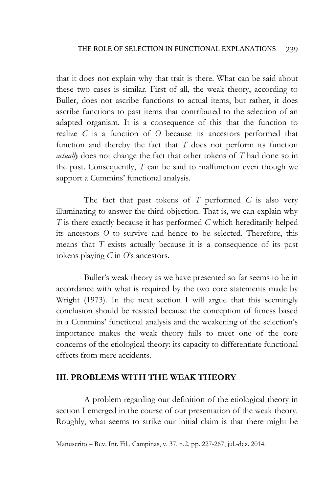that it does not explain why that trait is there. What can be said about these two cases is similar. First of all, the weak theory, according to Buller, does not ascribe functions to actual items, but rather, it does ascribe functions to past items that contributed to the selection of an adapted organism. It is a consequence of this that the function to realize *C* is a function of *O* because its ancestors performed that function and thereby the fact that *T* does not perform its function *actually* does not change the fact that other tokens of *T* had done so in the past. Consequently, *T* can be said to malfunction even though we support a Cummins' functional analysis.

The fact that past tokens of *T* performed *C* is also very illuminating to answer the third objection. That is, we can explain why *T* is there exactly because it has performed *C* which hereditarily helped its ancestors *O* to survive and hence to be selected. Therefore, this means that *T* exists actually because it is a consequence of its past tokens playing *C* in *O*'s ancestors.

Buller's weak theory as we have presented so far seems to be in accordance with what is required by the two core statements made by Wright (1973). In the next section I will argue that this seemingly conclusion should be resisted because the conception of fitness based in a Cummins' functional analysis and the weakening of the selection's importance makes the weak theory fails to meet one of the core concerns of the etiological theory: its capacity to differentiate functional effects from mere accidents.

## **III. PROBLEMS WITH THE WEAK THEORY**

A problem regarding our definition of the etiological theory in section I emerged in the course of our presentation of the weak theory. Roughly, what seems to strike our initial claim is that there might be

Manuscrito – Rev. Int. Fil., Campinas, v. 37, n.2, pp. 227-267, jul.-dez. 2014.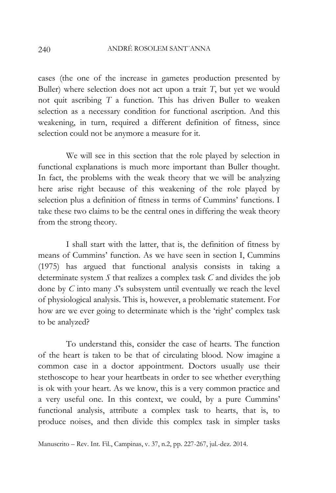### ANDRÉ ROSOLEM SANT´ANNA

240

cases (the one of the increase in gametes production presented by Buller) where selection does not act upon a trait *T*, but yet we would not quit ascribing *T* a function. This has driven Buller to weaken selection as a necessary condition for functional ascription. And this weakening, in turn, required a different definition of fitness, since selection could not be anymore a measure for it.

We will see in this section that the role played by selection in functional explanations is much more important than Buller thought. In fact, the problems with the weak theory that we will be analyzing here arise right because of this weakening of the role played by selection plus a definition of fitness in terms of Cummins' functions. I take these two claims to be the central ones in differing the weak theory from the strong theory.

I shall start with the latter, that is, the definition of fitness by means of Cummins' function. As we have seen in section I, Cummins (1975) has argued that functional analysis consists in taking a determinate system *S* that realizes a complex task *C* and divides the job done by *C* into many *S*'s subsystem until eventually we reach the level of physiological analysis. This is, however, a problematic statement. For how are we ever going to determinate which is the 'right' complex task to be analyzed?

To understand this, consider the case of hearts. The function of the heart is taken to be that of circulating blood. Now imagine a common case in a doctor appointment. Doctors usually use their stethoscope to hear your heartbeats in order to see whether everything is ok with your heart. As we know, this is a very common practice and a very useful one. In this context, we could, by a pure Cummins' functional analysis, attribute a complex task to hearts, that is, to produce noises, and then divide this complex task in simpler tasks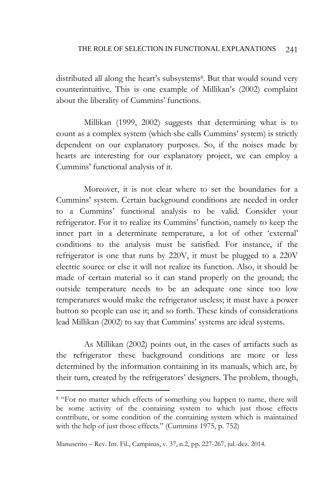distributed all along the heart's subsystems<sup>8</sup>. But that would sound very counterintuitive. This is one example of Millikan's (2002) complaint about the liberality of Cummins' functions.

Millikan (1999, 2002) suggests that determining what is to count as a complex system (which she calls Cummins' system) is strictly dependent on our explanatory purposes. So, if the noises made by hearts are interesting for our explanatory project, we can employ a Cummins' functional analysis of it.

Moreover, it is not clear where to set the boundaries for a Cummins' system. Certain background conditions are needed in order to a Cummins' functional analysis to be valid. Consider your refrigerator. For it to realize its Cummins' function, namely to keep the inner part in a determinate temperature, a lot of other 'external' conditions to the analysis must be satisfied. For instance, if the refrigerator is one that runs by 220V, it must be plugged to a 220V electric source or else it will not realize its function. Also, it should be made of certain material so it can stand properly on the ground; the outside temperature needs to be an adequate one since too low temperatures would make the refrigerator useless; it must have a power button so people can use it; and so forth. These kinds of considerations lead Millikan (2002) to say that Cummins' systems are ideal systems.

As Millikan (2002) points out, in the cases of artifacts such as the refrigerator these background conditions are more or less determined by the information containing in its manuals, which are, by their turn, created by the refrigerators' designers. The problem, though,

<sup>&</sup>lt;sup>8</sup> "For no matter which effects of something you happen to name, there will be some activity of the containing system to which just those effects contribute, or some condition of the containing system which is maintained with the help of just those effects." (Cummins 1975, p. 752)

Manuscrito – Rev. Int. Fil., Campinas, v. 37, n.2, pp. 227-267, jul.-dez. 2014.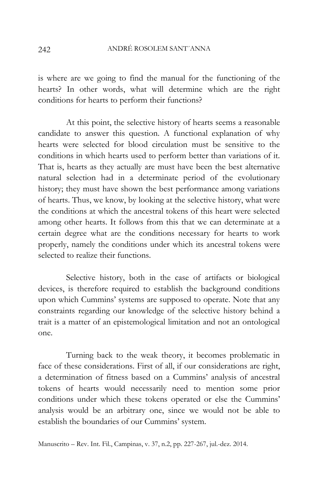is where are we going to find the manual for the functioning of the hearts? In other words, what will determine which are the right conditions for hearts to perform their functions?

At this point, the selective history of hearts seems a reasonable candidate to answer this question. A functional explanation of why hearts were selected for blood circulation must be sensitive to the conditions in which hearts used to perform better than variations of it. That is, hearts as they actually are must have been the best alternative natural selection had in a determinate period of the evolutionary history; they must have shown the best performance among variations of hearts. Thus, we know, by looking at the selective history, what were the conditions at which the ancestral tokens of this heart were selected among other hearts. It follows from this that we can determinate at a certain degree what are the conditions necessary for hearts to work properly, namely the conditions under which its ancestral tokens were selected to realize their functions.

Selective history, both in the case of artifacts or biological devices, is therefore required to establish the background conditions upon which Cummins' systems are supposed to operate. Note that any constraints regarding our knowledge of the selective history behind a trait is a matter of an epistemological limitation and not an ontological one.

Turning back to the weak theory, it becomes problematic in face of these considerations. First of all, if our considerations are right, a determination of fitness based on a Cummins' analysis of ancestral tokens of hearts would necessarily need to mention some prior conditions under which these tokens operated or else the Cummins' analysis would be an arbitrary one, since we would not be able to establish the boundaries of our Cummins' system.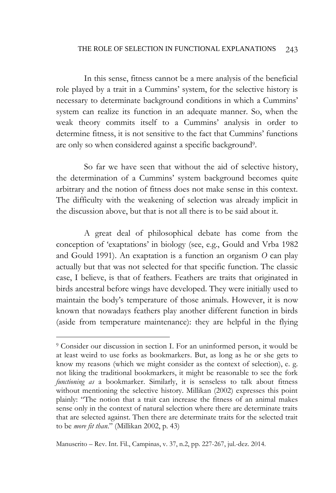#### THE ROLE OF SELECTION IN FUNCTIONAL EXPLANATIONS 243

In this sense, fitness cannot be a mere analysis of the beneficial role played by a trait in a Cummins' system, for the selective history is necessary to determinate background conditions in which a Cummins' system can realize its function in an adequate manner. So, when the weak theory commits itself to a Cummins' analysis in order to determine fitness, it is not sensitive to the fact that Cummins' functions are only so when considered against a specific background<sup>9</sup>.

So far we have seen that without the aid of selective history, the determination of a Cummins' system background becomes quite arbitrary and the notion of fitness does not make sense in this context. The difficulty with the weakening of selection was already implicit in the discussion above, but that is not all there is to be said about it.

A great deal of philosophical debate has come from the conception of 'exaptations' in biology (see, e.g., Gould and Vrba 1982 and Gould 1991). An exaptation is a function an organism *O* can play actually but that was not selected for that specific function. The classic case, I believe, is that of feathers. Feathers are traits that originated in birds ancestral before wings have developed. They were initially used to maintain the body's temperature of those animals. However, it is now known that nowadays feathers play another different function in birds (aside from temperature maintenance): they are helpful in the flying

<sup>9</sup> Consider our discussion in section I. For an uninformed person, it would be at least weird to use forks as bookmarkers. But, as long as he or she gets to know my reasons (which we might consider as the context of selection), e. g. not liking the traditional bookmarkers, it might be reasonable to see the fork *functioning as* a bookmarker. Similarly, it is senseless to talk about fitness without mentioning the selective history. Millikan (2002) expresses this point plainly: "The notion that a trait can increase the fitness of an animal makes sense only in the context of natural selection where there are determinate traits that are selected against. Then there are determinate traits for the selected trait to be *more fit than*." (Millikan 2002, p. 43)

Manuscrito – Rev. Int. Fil., Campinas, v. 37, n.2, pp. 227-267, jul.-dez. 2014.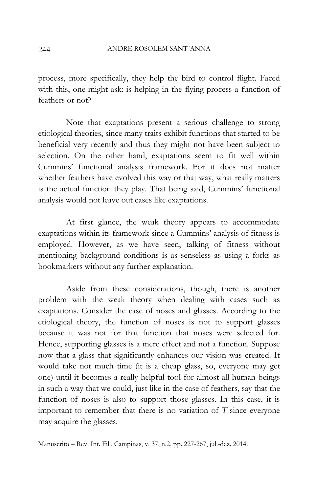process, more specifically, they help the bird to control flight. Faced with this, one might ask: is helping in the flying process a function of feathers or not?

Note that exaptations present a serious challenge to strong etiological theories, since many traits exhibit functions that started to be beneficial very recently and thus they might not have been subject to selection. On the other hand, exaptations seem to fit well within Cummins' functional analysis framework. For it does not matter whether feathers have evolved this way or that way, what really matters is the actual function they play. That being said, Cummins' functional analysis would not leave out cases like exaptations.

At first glance, the weak theory appears to accommodate exaptations within its framework since a Cummins' analysis of fitness is employed. However, as we have seen, talking of fitness without mentioning background conditions is as senseless as using a forks as bookmarkers without any further explanation.

Aside from these considerations, though, there is another problem with the weak theory when dealing with cases such as exaptations. Consider the case of noses and glasses. According to the etiological theory, the function of noses is not to support glasses because it was not for that function that noses were selected for. Hence, supporting glasses is a mere effect and not a function. Suppose now that a glass that significantly enhances our vision was created. It would take not much time (it is a cheap glass, so, everyone may get one) until it becomes a really helpful tool for almost all human beings in such a way that we could, just like in the case of feathers, say that the function of noses is also to support those glasses. In this case, it is important to remember that there is no variation of *T* since everyone may acquire the glasses.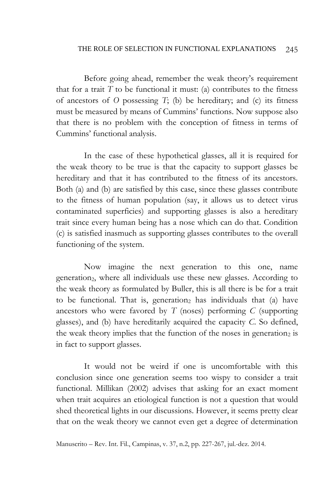Before going ahead, remember the weak theory's requirement that for a trait  $T$  to be functional it must: (a) contributes to the fitness of ancestors of *O* possessing *T*; (b) be hereditary; and (c) its fitness must be measured by means of Cummins' functions. Now suppose also that there is no problem with the conception of fitness in terms of Cummins' functional analysis.

In the case of these hypothetical glasses, all it is required for the weak theory to be true is that the capacity to support glasses be hereditary and that it has contributed to the fitness of its ancestors. Both (a) and (b) are satisfied by this case, since these glasses contribute to the fitness of human population (say, it allows us to detect virus contaminated superficies) and supporting glasses is also a hereditary trait since every human being has a nose which can do that. Condition (c) is satisfied inasmuch as supporting glasses contributes to the overall functioning of the system.

Now imagine the next generation to this one, name generation<sub>2</sub>, where all individuals use these new glasses. According to the weak theory as formulated by Buller, this is all there is be for a trait to be functional. That is, generation<sub>2</sub> has individuals that (a) have ancestors who were favored by *T* (noses) performing *C* (supporting glasses), and (b) have hereditarily acquired the capacity *C*. So defined, the weak theory implies that the function of the noses in generation<sub>2</sub> is in fact to support glasses.

It would not be weird if one is uncomfortable with this conclusion since one generation seems too wispy to consider a trait functional. Millikan (2002) advises that asking for an exact moment when trait acquires an etiological function is not a question that would shed theoretical lights in our discussions. However, it seems pretty clear that on the weak theory we cannot even get a degree of determination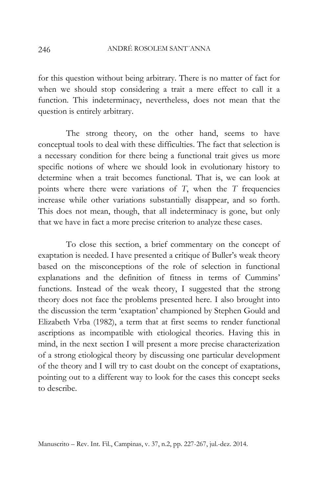for this question without being arbitrary. There is no matter of fact for when we should stop considering a trait a mere effect to call it a function. This indeterminacy, nevertheless, does not mean that the question is entirely arbitrary.

The strong theory, on the other hand, seems to have conceptual tools to deal with these difficulties. The fact that selection is a necessary condition for there being a functional trait gives us more specific notions of where we should look in evolutionary history to determine when a trait becomes functional. That is, we can look at points where there were variations of *T*, when the *T* frequencies increase while other variations substantially disappear, and so forth. This does not mean, though, that all indeterminacy is gone, but only that we have in fact a more precise criterion to analyze these cases.

To close this section, a brief commentary on the concept of exaptation is needed. I have presented a critique of Buller's weak theory based on the misconceptions of the role of selection in functional explanations and the definition of fitness in terms of Cummins' functions. Instead of the weak theory, I suggested that the strong theory does not face the problems presented here. I also brought into the discussion the term 'exaptation' championed by Stephen Gould and Elizabeth Vrba (1982), a term that at first seems to render functional ascriptions as incompatible with etiological theories. Having this in mind, in the next section I will present a more precise characterization of a strong etiological theory by discussing one particular development of the theory and I will try to cast doubt on the concept of exaptations, pointing out to a different way to look for the cases this concept seeks to describe.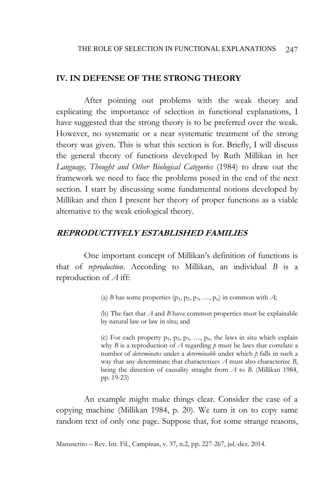### **IV. IN DEFENSE OF THE STRONG THEORY**

After pointing out problems with the weak theory and explicating the importance of selection in functional explanations, I have suggested that the strong theory is to be preferred over the weak. However, no systematic or a near systematic treatment of the strong theory was given. This is what this section is for. Briefly, I will discuss the general theory of functions developed by Ruth Millikan in her *Language, Thought and Other Biological Categories* (1984) to draw out the framework we need to face the problems posed in the end of the next section. I start by discussing some fundamental notions developed by Millikan and then I present her theory of proper functions as a viable alternative to the weak etiological theory.

## **REPRODUCTIVELY ESTABLISHED FAMILIES**

One important concept of Millikan's definition of functions is that of *reproduction*. According to Millikan, an individual *B* is a reproduction of *A* iff:

(a) *B* has some properties  $(p_1, p_2, p_3, \ldots, p_n)$  in common with *A*;

(b) The fact that *A* and *B* have common properties must be explainable by natural law or law in situ; and

(c) For each property  $p_1$ ,  $p_2$ ,  $p_3$ , ...,  $p_n$ , the laws in situ which explain why *B* is a reproduction of *A* regarding *p* must be laws that correlate a number of *determinates* under a *determinable* under which *p* falls in such a way that any determinate that characterizes *A* must also characterize *B*, being the direction of causality straight from *A* to *B*. (Millikan 1984, pp. 19-23)

An example might make things clear. Consider the case of a copying machine (Millikan 1984, p. 20). We turn it on to copy same random text of only one page. Suppose that, for some strange reasons,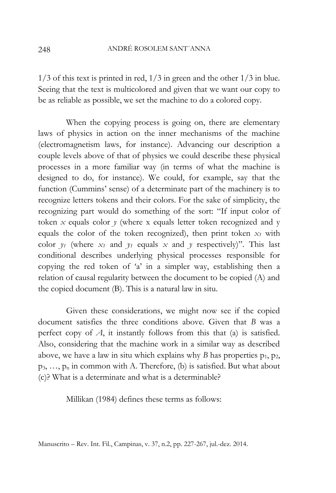1/3 of this text is printed in red, 1/3 in green and the other 1/3 in blue. Seeing that the text is multicolored and given that we want our copy to be as reliable as possible, we set the machine to do a colored copy.

When the copying process is going on, there are elementary laws of physics in action on the inner mechanisms of the machine (electromagnetism laws, for instance). Advancing our description a couple levels above of that of physics we could describe these physical processes in a more familiar way (in terms of what the machine is designed to do, for instance). We could, for example, say that the function (Cummins' sense) of a determinate part of the machinery is to recognize letters tokens and their colors. For the sake of simplicity, the recognizing part would do something of the sort: "If input color of token  $x$  equals color  $y$  (where x equals letter token recognized and y equals the color of the token recognized), then print token  $x_1$  with color  $y_1$  (where  $x_1$  and  $y_1$  equals  $x$  and  $y$  respectively)". This last conditional describes underlying physical processes responsible for copying the red token of 'a' in a simpler way, establishing then a relation of causal regularity between the document to be copied (A) and the copied document (B). This is a natural law in situ.

Given these considerations, we might now see if the copied document satisfies the three conditions above. Given that *B* was a perfect copy of *A*, it instantly follows from this that (a) is satisfied. Also, considering that the machine work in a similar way as described above, we have a law in situ which explains why *B* has properties  $p_1$ ,  $p_2$ ,  $p_3, \ldots, p_n$  in common with A. Therefore, (b) is satisfied. But what about (c)? What is a determinate and what is a determinable?

Millikan (1984) defines these terms as follows: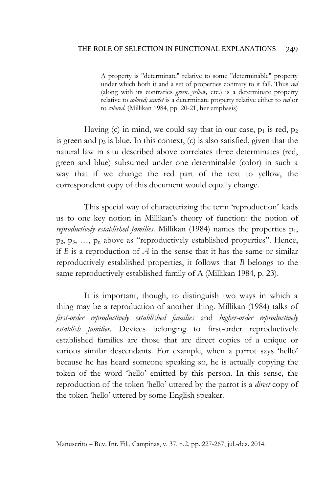A property is "determinate" relative to some "determinable" property under which both it and a set of properties contrary to it fall. Thus *red*  (along with its contraries *green, yellow,* etc.) is a determinate property relative to *colored; scarlet* is a determinate property relative either to *red* or to *colored.* (Millikan 1984, pp. 20-21, her emphasis)

Having (c) in mind, we could say that in our case,  $p_1$  is red,  $p_2$ is green and  $p_3$  is blue. In this context,  $(c)$  is also satisfied, given that the natural law in situ described above correlates three determinates (red, green and blue) subsumed under one determinable (color) in such a way that if we change the red part of the text to yellow, the correspondent copy of this document would equally change.

This special way of characterizing the term 'reproduction' leads us to one key notion in Millikan's theory of function: the notion of *reproductively established families*. Millikan (1984) names the properties  $p_1$ ,  $p_2, p_3, \ldots, p_n$  above as "reproductively established properties". Hence, if *B* is a reproduction of *A* in the sense that it has the same or similar reproductively established properties, it follows that *B* belongs to the same reproductively established family of A (Millikan 1984, p. 23).

It is important, though, to distinguish two ways in which a thing may be a reproduction of another thing. Millikan (1984) talks of *first-order reproductively established families* and *higher-order reproductively establish families*. Devices belonging to first-order reproductively established families are those that are direct copies of a unique or various similar descendants. For example, when a parrot says 'hello' because he has heard someone speaking so, he is actually copying the token of the word 'hello' emitted by this person. In this sense, the reproduction of the token 'hello' uttered by the parrot is a *direct* copy of the token 'hello' uttered by some English speaker.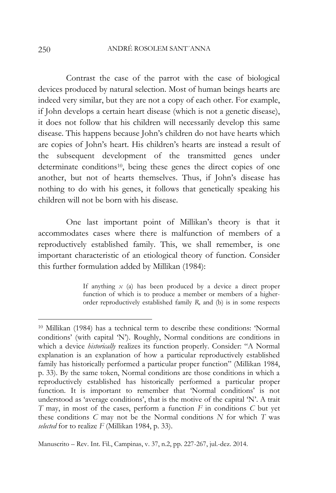Contrast the case of the parrot with the case of biological devices produced by natural selection. Most of human beings hearts are indeed very similar, but they are not a copy of each other. For example, if John develops a certain heart disease (which is not a genetic disease), it does not follow that his children will necessarily develop this same disease. This happens because John's children do not have hearts which are copies of John's heart. His children's hearts are instead a result of the subsequent development of the transmitted genes under determinate conditions<sup>10</sup>, being these genes the direct copies of one another, but not of hearts themselves. Thus, if John's disease has nothing to do with his genes, it follows that genetically speaking his children will not be born with his disease.

One last important point of Millikan's theory is that it accommodates cases where there is malfunction of members of a reproductively established family. This, we shall remember, is one important characteristic of an etiological theory of function. Consider this further formulation added by Millikan (1984):

> If anything *x* (a) has been produced by a device a direct proper function of which is to produce a member or members of a higherorder reproductively established family *R,* and (b) is in some respects

<sup>10</sup> Millikan (1984) has a technical term to describe these conditions: 'Normal conditions' (with capital 'N'). Roughly, Normal conditions are conditions in which a device *historically* realizes its function properly. Consider: "A Normal explanation is an explanation of how a particular reproductively established family has historically performed a particular proper function" (Millikan 1984, p. 33). By the same token, Normal conditions are those conditions in which a reproductively established has historically performed a particular proper function. It is important to remember that 'Normal conditions' is not understood as 'average conditions', that is the motive of the capital 'N'. A trait *T* may, in most of the cases, perform a function *F* in conditions *C* but yet these conditions *C* may not be the Normal conditions *N* for which *T* was *selected* for to realize *F* (Millikan 1984, p. 33).

Manuscrito – Rev. Int. Fil., Campinas, v. 37, n.2, pp. 227-267, jul.-dez. 2014.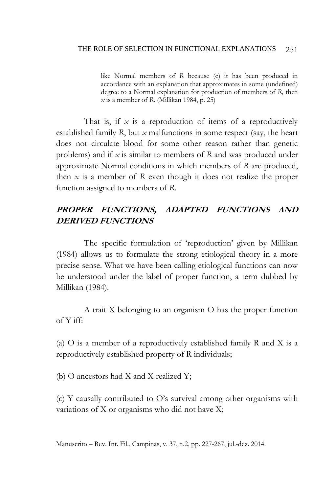like Normal members of *R* because (c) it has been produced in accordance with an explanation that approximates in some (undefined) degree to a Normal explanation for production of members of *R,* then *x* is a member of *R*. (Millikan 1984, p. 25)

That is, if *x* is a reproduction of items of a reproductively established family *R*, but *x* malfunctions in some respect (say, the heart does not circulate blood for some other reason rather than genetic problems) and if *x* is similar to members of *R* and was produced under approximate Normal conditions in which members of *R* are produced, then *x* is a member of *R* even though it does not realize the proper function assigned to members of *R*.

# **PROPER FUNCTIONS, ADAPTED FUNCTIONS AND DERIVED FUNCTIONS**

The specific formulation of 'reproduction' given by Millikan (1984) allows us to formulate the strong etiological theory in a more precise sense. What we have been calling etiological functions can now be understood under the label of proper function, a term dubbed by Millikan (1984).

A trait X belonging to an organism O has the proper function of Y iff:

(a) O is a member of a reproductively established family R and X is a reproductively established property of R individuals;

(b) O ancestors had X and X realized Y;

(c) Y causally contributed to O's survival among other organisms with variations of X or organisms who did not have X;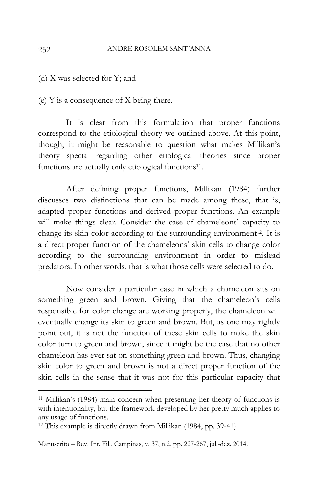(d) X was selected for Y; and

(e) Y is a consequence of X being there.

It is clear from this formulation that proper functions correspond to the etiological theory we outlined above. At this point, though, it might be reasonable to question what makes Millikan's theory special regarding other etiological theories since proper functions are actually only etiological functions<sup>11</sup>.

After defining proper functions, Millikan (1984) further discusses two distinctions that can be made among these, that is, adapted proper functions and derived proper functions. An example will make things clear. Consider the case of chameleons' capacity to change its skin color according to the surrounding environment<sup>12</sup>. It is a direct proper function of the chameleons' skin cells to change color according to the surrounding environment in order to mislead predators. In other words, that is what those cells were selected to do.

Now consider a particular case in which a chameleon sits on something green and brown. Giving that the chameleon's cells responsible for color change are working properly, the chameleon will eventually change its skin to green and brown. But, as one may rightly point out, it is not the function of these skin cells to make the skin color turn to green and brown, since it might be the case that no other chameleon has ever sat on something green and brown. Thus, changing skin color to green and brown is not a direct proper function of the skin cells in the sense that it was not for this particular capacity that

<sup>11</sup> Millikan's (1984) main concern when presenting her theory of functions is with intentionality, but the framework developed by her pretty much applies to any usage of functions.

<sup>12</sup> This example is directly drawn from Millikan (1984, pp. 39-41).

Manuscrito – Rev. Int. Fil., Campinas, v. 37, n.2, pp. 227-267, jul.-dez. 2014.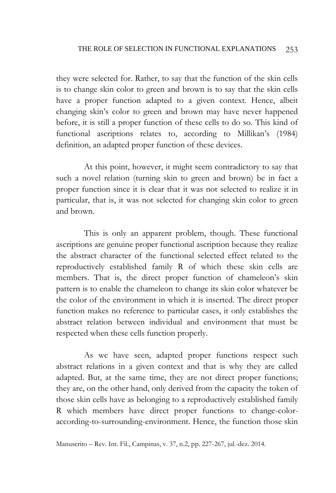they were selected for. Rather, to say that the function of the skin cells is to change skin color to green and brown is to say that the skin cells have a proper function adapted to a given context. Hence, albeit changing skin's color to green and brown may have never happened before, it is still a proper function of these cells to do so. This kind of functional ascriptions relates to, according to Millikan's (1984) definition, an adapted proper function of these devices.

At this point, however, it might seem contradictory to say that such a novel relation (turning skin to green and brown) be in fact a proper function since it is clear that it was not selected to realize it in particular, that is, it was not selected for changing skin color to green and brown.

This is only an apparent problem, though. These functional ascriptions are genuine proper functional ascription because they realize the abstract character of the functional selected effect related to the reproductively established family R of which these skin cells are members. That is, the direct proper function of chameleon's skin pattern is to enable the chameleon to change its skin color whatever be the color of the environment in which it is inserted. The direct proper function makes no reference to particular cases, it only establishes the abstract relation between individual and environment that must be respected when these cells function properly.

As we have seen, adapted proper functions respect such abstract relations in a given context and that is why they are called adapted. But, at the same time, they are not direct proper functions; they are, on the other hand, only derived from the capacity the token of those skin cells have as belonging to a reproductively established family R which members have direct proper functions to change-coloraccording-to-surrounding-environment. Hence, the function those skin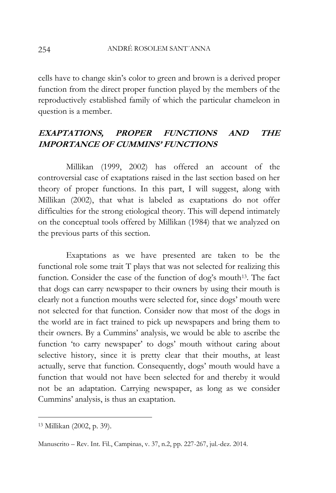cells have to change skin's color to green and brown is a derived proper function from the direct proper function played by the members of the reproductively established family of which the particular chameleon in question is a member.

# **EXAPTATIONS, PROPER FUNCTIONS AND THE IMPORTANCE OF CUMMINS' FUNCTIONS**

Millikan (1999, 2002) has offered an account of the controversial case of exaptations raised in the last section based on her theory of proper functions. In this part, I will suggest, along with Millikan (2002), that what is labeled as exaptations do not offer difficulties for the strong etiological theory. This will depend intimately on the conceptual tools offered by Millikan (1984) that we analyzed on the previous parts of this section.

Exaptations as we have presented are taken to be the functional role some trait T plays that was not selected for realizing this function. Consider the case of the function of dog's mouth<sup>13</sup>. The fact that dogs can carry newspaper to their owners by using their mouth is clearly not a function mouths were selected for, since dogs' mouth were not selected for that function. Consider now that most of the dogs in the world are in fact trained to pick up newspapers and bring them to their owners. By a Cummins' analysis, we would be able to ascribe the function 'to carry newspaper' to dogs' mouth without caring about selective history, since it is pretty clear that their mouths, at least actually, serve that function. Consequently, dogs' mouth would have a function that would not have been selected for and thereby it would not be an adaptation. Carrying newspaper, as long as we consider Cummins' analysis, is thus an exaptation.

<sup>13</sup> Millikan (2002, p. 39).

Manuscrito – Rev. Int. Fil., Campinas, v. 37, n.2, pp. 227-267, jul.-dez. 2014.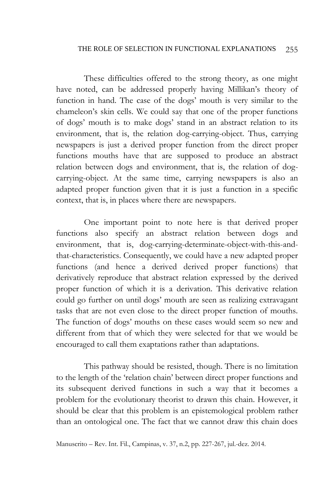These difficulties offered to the strong theory, as one might have noted, can be addressed properly having Millikan's theory of function in hand. The case of the dogs' mouth is very similar to the chameleon's skin cells. We could say that one of the proper functions of dogs' mouth is to make dogs' stand in an abstract relation to its environment, that is, the relation dog-carrying-object. Thus, carrying newspapers is just a derived proper function from the direct proper functions mouths have that are supposed to produce an abstract relation between dogs and environment, that is, the relation of dogcarrying-object. At the same time, carrying newspapers is also an adapted proper function given that it is just a function in a specific context, that is, in places where there are newspapers.

One important point to note here is that derived proper functions also specify an abstract relation between dogs and environment, that is, dog-carrying-determinate-object-with-this-andthat-characteristics. Consequently, we could have a new adapted proper functions (and hence a derived derived proper functions) that derivatively reproduce that abstract relation expressed by the derived proper function of which it is a derivation. This derivative relation could go further on until dogs' mouth are seen as realizing extravagant tasks that are not even close to the direct proper function of mouths. The function of dogs' mouths on these cases would seem so new and different from that of which they were selected for that we would be encouraged to call them exaptations rather than adaptations.

This pathway should be resisted, though. There is no limitation to the length of the 'relation chain' between direct proper functions and its subsequent derived functions in such a way that it becomes a problem for the evolutionary theorist to drawn this chain. However, it should be clear that this problem is an epistemological problem rather than an ontological one. The fact that we cannot draw this chain does

Manuscrito – Rev. Int. Fil., Campinas, v. 37, n.2, pp. 227-267, jul.-dez. 2014.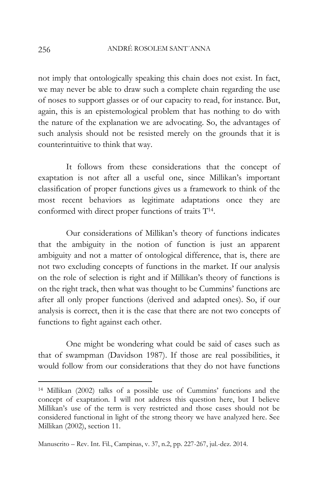not imply that ontologically speaking this chain does not exist. In fact, we may never be able to draw such a complete chain regarding the use of noses to support glasses or of our capacity to read, for instance. But, again, this is an epistemological problem that has nothing to do with the nature of the explanation we are advocating. So, the advantages of such analysis should not be resisted merely on the grounds that it is counterintuitive to think that way.

It follows from these considerations that the concept of exaptation is not after all a useful one, since Millikan's important classification of proper functions gives us a framework to think of the most recent behaviors as legitimate adaptations once they are conformed with direct proper functions of traits T<sup>14</sup>.

Our considerations of Millikan's theory of functions indicates that the ambiguity in the notion of function is just an apparent ambiguity and not a matter of ontological difference, that is, there are not two excluding concepts of functions in the market. If our analysis on the role of selection is right and if Millikan's theory of functions is on the right track, then what was thought to be Cummins' functions are after all only proper functions (derived and adapted ones). So, if our analysis is correct, then it is the case that there are not two concepts of functions to fight against each other.

One might be wondering what could be said of cases such as that of swampman (Davidson 1987). If those are real possibilities, it would follow from our considerations that they do not have functions

<sup>14</sup> Millikan (2002) talks of a possible use of Cummins' functions and the concept of exaptation. I will not address this question here, but I believe Millikan's use of the term is very restricted and those cases should not be considered functional in light of the strong theory we have analyzed here. See Millikan (2002), section 11.

Manuscrito – Rev. Int. Fil., Campinas, v. 37, n.2, pp. 227-267, jul.-dez. 2014.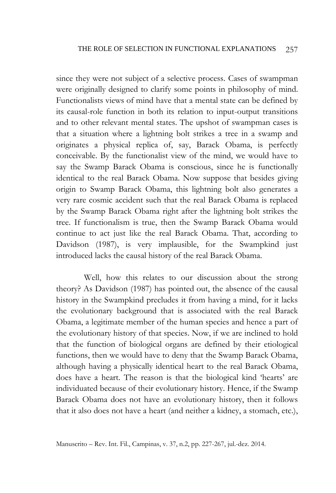since they were not subject of a selective process. Cases of swampman were originally designed to clarify some points in philosophy of mind. Functionalists views of mind have that a mental state can be defined by its causal-role function in both its relation to input-output transitions and to other relevant mental states. The upshot of swampman cases is that a situation where a lightning bolt strikes a tree in a swamp and originates a physical replica of, say, Barack Obama, is perfectly conceivable. By the functionalist view of the mind, we would have to say the Swamp Barack Obama is conscious, since he is functionally identical to the real Barack Obama. Now suppose that besides giving origin to Swamp Barack Obama, this lightning bolt also generates a very rare cosmic accident such that the real Barack Obama is replaced by the Swamp Barack Obama right after the lightning bolt strikes the tree. If functionalism is true, then the Swamp Barack Obama would continue to act just like the real Barack Obama. That, according to Davidson (1987), is very implausible, for the Swampkind just introduced lacks the causal history of the real Barack Obama.

Well, how this relates to our discussion about the strong theory? As Davidson (1987) has pointed out, the absence of the causal history in the Swampkind precludes it from having a mind, for it lacks the evolutionary background that is associated with the real Barack Obama, a legitimate member of the human species and hence a part of the evolutionary history of that species. Now, if we are inclined to hold that the function of biological organs are defined by their etiological functions, then we would have to deny that the Swamp Barack Obama, although having a physically identical heart to the real Barack Obama, does have a heart. The reason is that the biological kind 'hearts' are individuated because of their evolutionary history. Hence, if the Swamp Barack Obama does not have an evolutionary history, then it follows that it also does not have a heart (and neither a kidney, a stomach, etc.),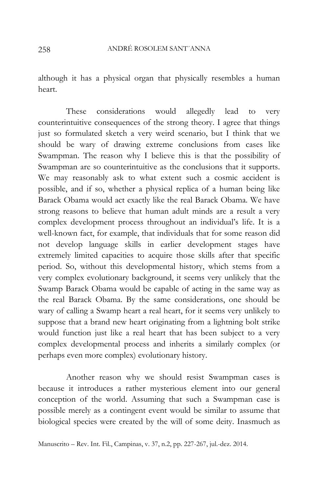although it has a physical organ that physically resembles a human heart.

These considerations would allegedly lead to very counterintuitive consequences of the strong theory. I agree that things just so formulated sketch a very weird scenario, but I think that we should be wary of drawing extreme conclusions from cases like Swampman. The reason why I believe this is that the possibility of Swampman are so counterintuitive as the conclusions that it supports. We may reasonably ask to what extent such a cosmic accident is possible, and if so, whether a physical replica of a human being like Barack Obama would act exactly like the real Barack Obama. We have strong reasons to believe that human adult minds are a result a very complex development process throughout an individual's life. It is a well-known fact, for example, that individuals that for some reason did not develop language skills in earlier development stages have extremely limited capacities to acquire those skills after that specific period. So, without this developmental history, which stems from a very complex evolutionary background, it seems very unlikely that the Swamp Barack Obama would be capable of acting in the same way as the real Barack Obama. By the same considerations, one should be wary of calling a Swamp heart a real heart, for it seems very unlikely to suppose that a brand new heart originating from a lightning bolt strike would function just like a real heart that has been subject to a very complex developmental process and inherits a similarly complex (or perhaps even more complex) evolutionary history.

Another reason why we should resist Swampman cases is because it introduces a rather mysterious element into our general conception of the world. Assuming that such a Swampman case is possible merely as a contingent event would be similar to assume that biological species were created by the will of some deity. Inasmuch as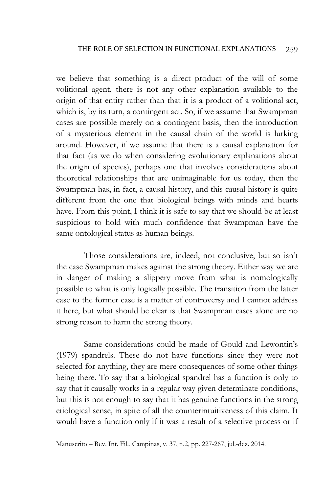we believe that something is a direct product of the will of some volitional agent, there is not any other explanation available to the origin of that entity rather than that it is a product of a volitional act, which is, by its turn, a contingent act. So, if we assume that Swampman cases are possible merely on a contingent basis, then the introduction of a mysterious element in the causal chain of the world is lurking around. However, if we assume that there is a causal explanation for that fact (as we do when considering evolutionary explanations about the origin of species), perhaps one that involves considerations about theoretical relationships that are unimaginable for us today, then the Swampman has, in fact, a causal history, and this causal history is quite different from the one that biological beings with minds and hearts have. From this point, I think it is safe to say that we should be at least suspicious to hold with much confidence that Swampman have the same ontological status as human beings.

Those considerations are, indeed, not conclusive, but so isn't the case Swampman makes against the strong theory. Either way we are in danger of making a slippery move from what is nomologically possible to what is only logically possible. The transition from the latter case to the former case is a matter of controversy and I cannot address it here, but what should be clear is that Swampman cases alone are no strong reason to harm the strong theory.

Same considerations could be made of Gould and Lewontin's (1979) spandrels. These do not have functions since they were not selected for anything, they are mere consequences of some other things being there. To say that a biological spandrel has a function is only to say that it causally works in a regular way given determinate conditions, but this is not enough to say that it has genuine functions in the strong etiological sense, in spite of all the counterintuitiveness of this claim. It would have a function only if it was a result of a selective process or if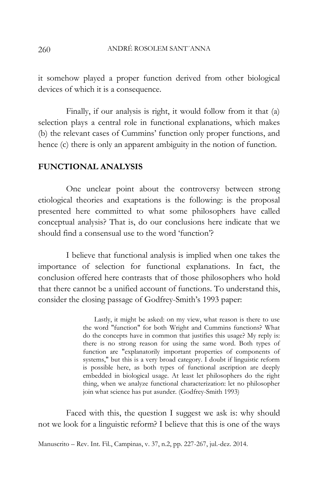it somehow played a proper function derived from other biological devices of which it is a consequence.

Finally, if our analysis is right, it would follow from it that (a) selection plays a central role in functional explanations, which makes (b) the relevant cases of Cummins' function only proper functions, and hence (c) there is only an apparent ambiguity in the notion of function.

## **FUNCTIONAL ANALYSIS**

One unclear point about the controversy between strong etiological theories and exaptations is the following: is the proposal presented here committed to what some philosophers have called conceptual analysis? That is, do our conclusions here indicate that we should find a consensual use to the word 'function'?

I believe that functional analysis is implied when one takes the importance of selection for functional explanations. In fact, the conclusion offered here contrasts that of those philosophers who hold that there cannot be a unified account of functions. To understand this, consider the closing passage of Godfrey-Smith's 1993 paper:

> Lastly, it might be asked: on my view, what reason is there to use the word "function" for both Wright and Cummins functions? What do the concepts have in common that justifies this usage? My reply is: there is no strong reason for using the same word. Both types of function are "explanatorily important properties of components of systems," but this is a very broad category. I doubt if linguistic reform is possible here, as both types of functional ascription are deeply embedded in biological usage. At least let philosophers do the right thing, when we analyze functional characterization: let no philosopher join what science has put asunder. (Godfrey-Smith 1993)

Faced with this, the question I suggest we ask is: why should not we look for a linguistic reform? I believe that this is one of the ways

Manuscrito – Rev. Int. Fil., Campinas, v. 37, n.2, pp. 227-267, jul.-dez. 2014.

260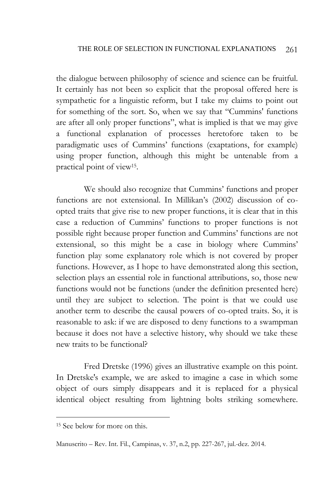the dialogue between philosophy of science and science can be fruitful. It certainly has not been so explicit that the proposal offered here is sympathetic for a linguistic reform, but I take my claims to point out for something of the sort. So, when we say that "Cummins' functions are after all only proper functions", what is implied is that we may give a functional explanation of processes heretofore taken to be paradigmatic uses of Cummins' functions (exaptations, for example) using proper function, although this might be untenable from a practical point of view<sup>15</sup> .

We should also recognize that Cummins' functions and proper functions are not extensional. In Millikan's (2002) discussion of coopted traits that give rise to new proper functions, it is clear that in this case a reduction of Cummins' functions to proper functions is not possible right because proper function and Cummins' functions are not extensional, so this might be a case in biology where Cummins' function play some explanatory role which is not covered by proper functions. However, as I hope to have demonstrated along this section, selection plays an essential role in functional attributions, so, those new functions would not be functions (under the definition presented here) until they are subject to selection. The point is that we could use another term to describe the causal powers of co-opted traits. So, it is reasonable to ask: if we are disposed to deny functions to a swampman because it does not have a selective history, why should we take these new traits to be functional?

Fred Dretske (1996) gives an illustrative example on this point. In Dretske's example, we are asked to imagine a case in which some object of ours simply disappears and it is replaced for a physical identical object resulting from lightning bolts striking somewhere.

<sup>15</sup> See below for more on this.

Manuscrito – Rev. Int. Fil., Campinas, v. 37, n.2, pp. 227-267, jul.-dez. 2014.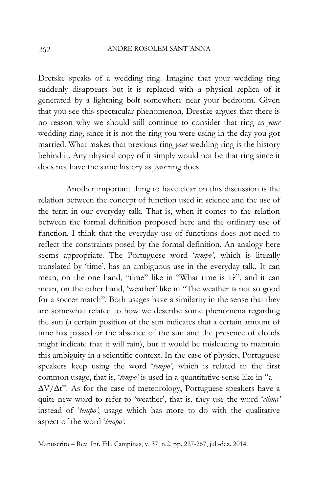Dretske speaks of a wedding ring. Imagine that your wedding ring suddenly disappears but it is replaced with a physical replica of it generated by a lightning bolt somewhere near your bedroom. Given that you see this spectacular phenomenon, Drestke argues that there is no reason why we should still continue to consider that ring as *your* wedding ring, since it is not the ring you were using in the day you got married. What makes that previous ring *your* wedding ring is the history behind it. Any physical copy of it simply would not be that ring since it does not have the same history as *your* ring does.

Another important thing to have clear on this discussion is the relation between the concept of function used in science and the use of the term in our everyday talk. That is, when it comes to the relation between the formal definition proposed here and the ordinary use of function, I think that the everyday use of functions does not need to reflect the constraints posed by the formal definition. An analogy here seems appropriate. The Portuguese word '*tempo'*, which is literally translated by 'time', has an ambiguous use in the everyday talk. It can mean, on the one hand, "time" like in "What time is it?", and it can mean, on the other hand, 'weather' like in "The weather is not so good for a soccer match". Both usages have a similarity in the sense that they are somewhat related to how we describe some phenomena regarding the sun (a certain position of the sun indicates that a certain amount of time has passed or the absence of the sun and the presence of clouds might indicate that it will rain), but it would be misleading to maintain this ambiguity in a scientific context. In the case of physics, Portuguese speakers keep using the word '*tempo'*, which is related to the first common usage, that is, '*tempo'* is used in a quantitative sense like in "a =  $\Delta V/\Delta t$ ". As for the case of meteorology, Portuguese speakers have a quite new word to refer to 'weather', that is, they use the word '*clima'* instead of '*tempo'*, usage which has more to do with the qualitative aspect of the word '*tempo'*.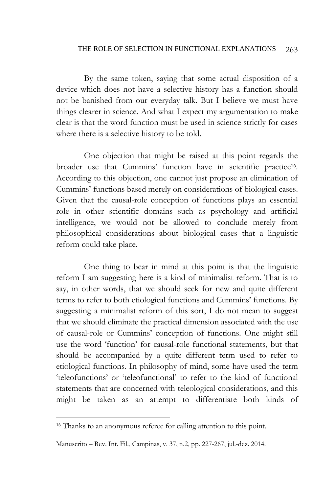#### THE ROLE OF SELECTION IN FUNCTIONAL EXPLANATIONS 263

By the same token, saying that some actual disposition of a device which does not have a selective history has a function should not be banished from our everyday talk. But I believe we must have things clearer in science. And what I expect my argumentation to make clear is that the word function must be used in science strictly for cases where there is a selective history to be told.

One objection that might be raised at this point regards the broader use that Cummins' function have in scientific practice 16 . According to this objection, one cannot just propose an elimination of Cummins' functions based merely on considerations of biological cases. Given that the causal-role conception of functions plays an essential role in other scientific domains such as psychology and artificial intelligence, we would not be allowed to conclude merely from philosophical considerations about biological cases that a linguistic reform could take place.

One thing to bear in mind at this point is that the linguistic reform I am suggesting here is a kind of minimalist reform. That is to say, in other words, that we should seek for new and quite different terms to refer to both etiological functions and Cummins' functions. By suggesting a minimalist reform of this sort, I do not mean to suggest that we should eliminate the practical dimension associated with the use of causal-role or Cummins' conception of functions. One might still use the word 'function' for causal-role functional statements, but that should be accompanied by a quite different term used to refer to etiological functions. In philosophy of mind, some have used the term 'teleofunctions' or 'teleofunctional' to refer to the kind of functional statements that are concerned with teleological considerations, and this might be taken as an attempt to differentiate both kinds of

<sup>&</sup>lt;sup>16</sup> Thanks to an anonymous referee for calling attention to this point.

Manuscrito – Rev. Int. Fil., Campinas, v. 37, n.2, pp. 227-267, jul.-dez. 2014.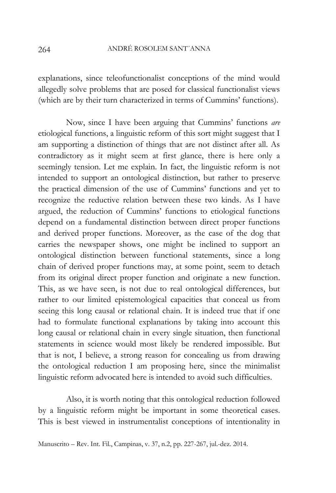explanations, since teleofunctionalist conceptions of the mind would allegedly solve problems that are posed for classical functionalist views (which are by their turn characterized in terms of Cummins' functions).

Now, since I have been arguing that Cummins' functions *are* etiological functions, a linguistic reform of this sort might suggest that I am supporting a distinction of things that are not distinct after all. As contradictory as it might seem at first glance, there is here only a seemingly tension. Let me explain. In fact, the linguistic reform is not intended to support an ontological distinction, but rather to preserve the practical dimension of the use of Cummins' functions and yet to recognize the reductive relation between these two kinds. As I have argued, the reduction of Cummins' functions to etiological functions depend on a fundamental distinction between direct proper functions and derived proper functions. Moreover, as the case of the dog that carries the newspaper shows, one might be inclined to support an ontological distinction between functional statements, since a long chain of derived proper functions may, at some point, seem to detach from its original direct proper function and originate a new function. This, as we have seen, is not due to real ontological differences, but rather to our limited epistemological capacities that conceal us from seeing this long causal or relational chain. It is indeed true that if one had to formulate functional explanations by taking into account this long causal or relational chain in every single situation, then functional statements in science would most likely be rendered impossible. But that is not, I believe, a strong reason for concealing us from drawing the ontological reduction I am proposing here, since the minimalist linguistic reform advocated here is intended to avoid such difficulties.

Also, it is worth noting that this ontological reduction followed by a linguistic reform might be important in some theoretical cases. This is best viewed in instrumentalist conceptions of intentionality in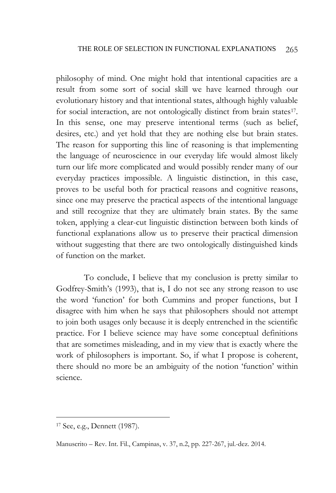philosophy of mind. One might hold that intentional capacities are a result from some sort of social skill we have learned through our evolutionary history and that intentional states, although highly valuable for social interaction, are not ontologically distinct from brain states<sup>17</sup>. In this sense, one may preserve intentional terms (such as belief, desires, etc.) and yet hold that they are nothing else but brain states. The reason for supporting this line of reasoning is that implementing the language of neuroscience in our everyday life would almost likely turn our life more complicated and would possibly render many of our everyday practices impossible. A linguistic distinction, in this case, proves to be useful both for practical reasons and cognitive reasons, since one may preserve the practical aspects of the intentional language and still recognize that they are ultimately brain states. By the same token, applying a clear-cut linguistic distinction between both kinds of functional explanations allow us to preserve their practical dimension without suggesting that there are two ontologically distinguished kinds of function on the market.

To conclude, I believe that my conclusion is pretty similar to Godfrey-Smith's (1993), that is, I do not see any strong reason to use the word 'function' for both Cummins and proper functions, but I disagree with him when he says that philosophers should not attempt to join both usages only because it is deeply entrenched in the scientific practice. For I believe science may have some conceptual definitions that are sometimes misleading, and in my view that is exactly where the work of philosophers is important. So, if what I propose is coherent, there should no more be an ambiguity of the notion 'function' within science.

<sup>17</sup> See, e.g., Dennett (1987).

Manuscrito – Rev. Int. Fil., Campinas, v. 37, n.2, pp. 227-267, jul.-dez. 2014.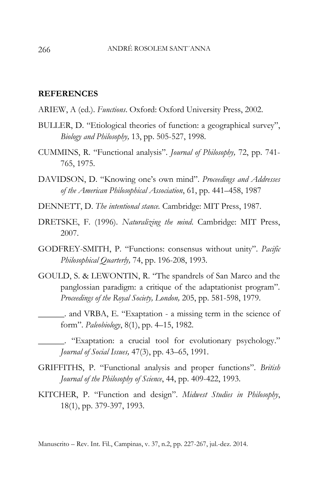#### **REFERENCES**

- ARIEW, A (ed.). *Functions*. Oxford: Oxford University Press, 2002.
- BULLER, D. "Etiological theories of function: a geographical survey", *Biology and Philosophy,* 13, pp. 505-527, 1998.
- CUMMINS, R. "Functional analysis". *Journal of Philosophy,* 72, pp. 741- 765, 1975.
- DAVIDSON, D. "Knowing one's own mind". *Proceedings and Addresses of the American Philosophical Association*, 61, pp. 441–458, 1987
- DENNETT, D. *The intentional stance.* Cambridge: MIT Press, 1987.
- DRETSKE, F. (1996). *Naturalizing the mind*. Cambridge: MIT Press, 2007.
- GODFREY-SMITH, P. "Functions: consensus without unity". *Pacific Philosophical Quarterly,* 74, pp. 196-208, 1993.
- GOULD, S. & LEWONTIN, R. "The spandrels of San Marco and the panglossian paradigm: a critique of the adaptationist program". *Proceedings of the Royal Society, London,* 205, pp. 581-598, 1979.
- \_\_\_\_\_\_. and VRBA, E. "Exaptation a missing term in the science of form". *Paleobiology*, 8(1), pp. 4–15, 1982.
	- \_\_\_\_\_\_. "Exaptation: a crucial tool for evolutionary psychology." *Journal of Social Issues,* 47(3), pp. 43–65, 1991.
- GRIFFITHS, P. "Functional analysis and proper functions". *British Journal of the Philosophy of Science*, 44, pp. 409-422, 1993.
- KITCHER, P. "Function and design". *Midwest Studies in Philosophy*, 18(1), pp. 379-397, 1993.